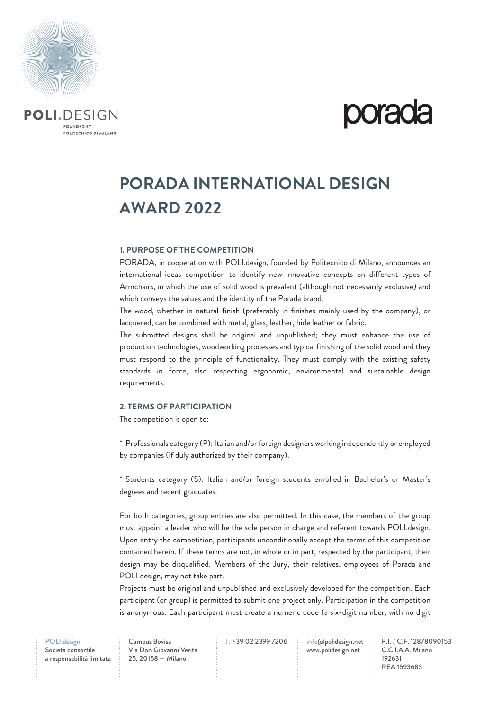

### **PORADA INTERNATIONAL DESIGN AWARD 2022**

#### **1. PURPOSE OF THE COMPETITION**

PORADA, in cooperation with POLI.design, founded by Politecnico di Milano, announces an international ideas competition to identify new innovative concepts on different types of Armchairs, in which the use of solid wood is prevalent (although not necessarily exclusive) and which conveys the values and the identity of the Porada brand.

The wood, whether in natural-finish (preferably in finishes mainly used by the company), or lacquered, can be combined with metal, glass, leather, hide leather or fabric.

The submitted designs shall be original and unpublished; they must enhance the use of production technologies, woodworking processes and typical finishing of the solid wood and they must respond to the principle of functionality. They must comply with the existing safety standards in force, also respecting ergonomic, environmental and sustainable design requirements.

#### **2. TERMS OF PARTICIPATION**

The competition is open to:

\* Professionals category (P): Italian and/or foreign designers working independently or employed by companies (if duly authorized by their company).

\* Students category (S): Italian and/or foreign students enrolled in Bachelor's or Master's degrees and recent graduates.

For both categories, group entries are also permitted. In this case, the members of the group must appoint a leader who will be the sole person in charge and referent towards POLI.design. Upon entry the competition, participants unconditionally accept the terms of this competition contained herein. If these terms are not, in whole or in part, respected by the participant, their design may be disqualified. Members of the Jury, their relatives, employees of Porada and POLI.design, may not take part.

Projects must be original and unpublished and exclusively developed for the competition. Each participant (or group) is permitted to submit one project only. Participation in the competition is anonymous. Each participant must create a numeric code (a six-digit number, with no digit

POLI.design

Società consortile a responsabilità limitata Campus Bovisa Via Don Giovanni Verità 25, 20158 — Milano

T. +39 02 2399 7206 info@polidesign.net

www.polidesign.net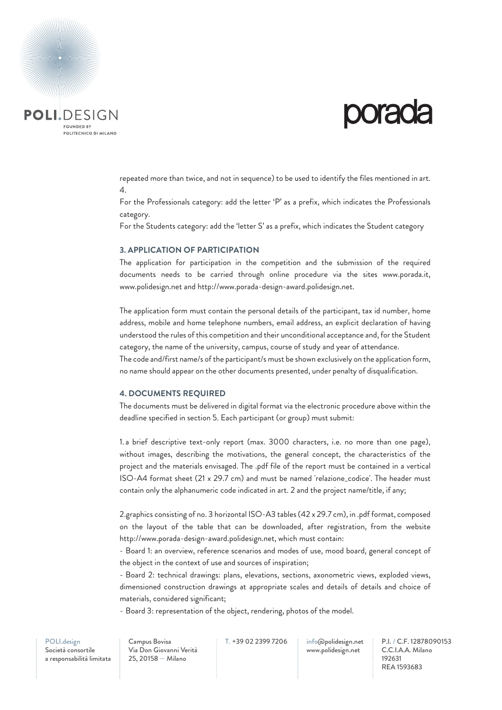

# **porada**

repeated more than twice, and not in sequence) to be used to identify the files mentioned in art. 4.

For the Professionals category: add the letter 'P' as a prefix, which indicates the Professionals category.

For the Students category: add the 'letter S' as a prefix, which indicates the Student category

#### **3. APPLICATION OF PARTICIPATION**

The application for participation in the competition and the submission of the required documents needs to be carried through online procedure via the sites www.porada.it, www.polidesign.net and http://www.porada-design-award.polidesign.net.

The application form must contain the personal details of the participant, tax id number, home address, mobile and home telephone numbers, email address, an explicit declaration of having understood the rules of this competition and their unconditional acceptance and, for the Student category, the name of the university, campus, course of study and year of attendance.

The code and/first name/s of the participant/s must be shown exclusively on the application form, no name should appear on the other documents presented, under penalty of disqualification.

#### **4. DOCUMENTS REQUIRED**

The documents must be delivered in digital format via the electronic procedure above within the deadline specified in section 5. Each participant (or group) must submit:

1. a brief descriptive text-only report (max. 3000 characters, i.e. no more than one page), without images, describing the motivations, the general concept, the characteristics of the project and the materials envisaged. The .pdf file of the report must be contained in a vertical ISO-A4 format sheet (21 x 29.7 cm) and must be named 'relazione\_codice'. The header must contain only the alphanumeric code indicated in art. 2 and the project name/title, if any;

2.graphics consisting of no. 3 horizontal ISO-A3 tables (42 x 29.7 cm), in .pdf format, composed on the layout of the table that can be downloaded, after registration, from the website http://www.porada-design-award.polidesign.net, which must contain:

- Board 1: an overview, reference scenarios and modes of use, mood board, general concept of the object in the context of use and sources of inspiration;

- Board 2: technical drawings: plans, elevations, sections, axonometric views, exploded views, dimensioned construction drawings at appropriate scales and details of details and choice of materials, considered significant;

- Board 3: representation of the object, rendering, photos of the model.

Società consortile a responsabilità limitata Campus Bovisa Via Don Giovanni Verità 25, 20158 — Milano

T. +39 02 2399 7206 info@polidesign.net

www.polidesign.net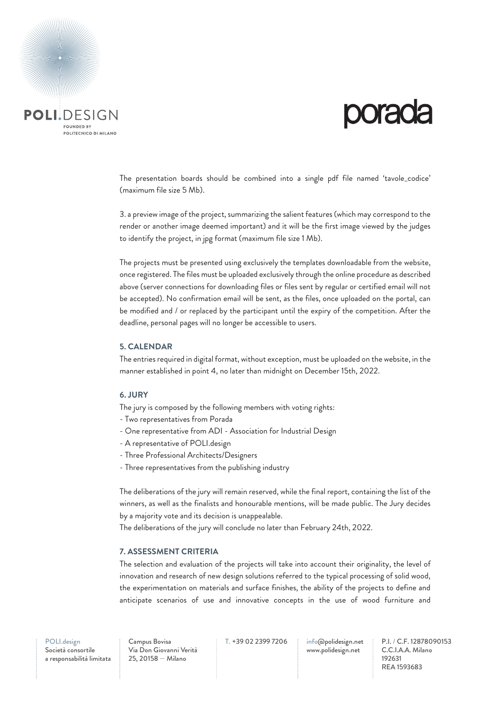

# **PORIOR**

The presentation boards should be combined into a single pdf file named 'tavole\_codice' (maximum file size 5 Mb).

3. a preview image of the project, summarizing the salient features (which may correspond to the render or another image deemed important) and it will be the first image viewed by the judges to identify the project, in jpg format (maximum file size 1 Mb).

The projects must be presented using exclusively the templates downloadable from the website, once registered. The files must be uploaded exclusively through the online procedure as described above (server connections for downloading files or files sent by regular or certified email will not be accepted). No confirmation email will be sent, as the files, once uploaded on the portal, can be modified and / or replaced by the participant until the expiry of the competition. After the deadline, personal pages will no longer be accessible to users.

#### **5. CALENDAR**

The entries required in digital format, without exception, must be uploaded on the website, in the manner established in point 4, no later than midnight on December 15th, 2022.

#### **6. JURY**

The jury is composed by the following members with voting rights:

- Two representatives from Porada
- One representative from ADI Association for Industrial Design
- A representative of POLI.design
- Three Professional Architects/Designers
- Three representatives from the publishing industry

The deliberations of the jury will remain reserved, while the final report, containing the list of the winners, as well as the finalists and honourable mentions, will be made public. The Jury decides by a majority vote and its decision is unappealable.

The deliberations of the jury will conclude no later than February 24th, 2022.

#### **7. ASSESSMENT CRITERIA**

The selection and evaluation of the projects will take into account their originality, the level of innovation and research of new design solutions referred to the typical processing of solid wood, the experimentation on materials and surface finishes, the ability of the projects to define and anticipate scenarios of use and innovative concepts in the use of wood furniture and

Società consortile a responsabilità limitata Campus Bovisa Via Don Giovanni Verità 25, 20158 — Milano

T. +39 02 2399 7206 info@polidesign.net

www.polidesign.net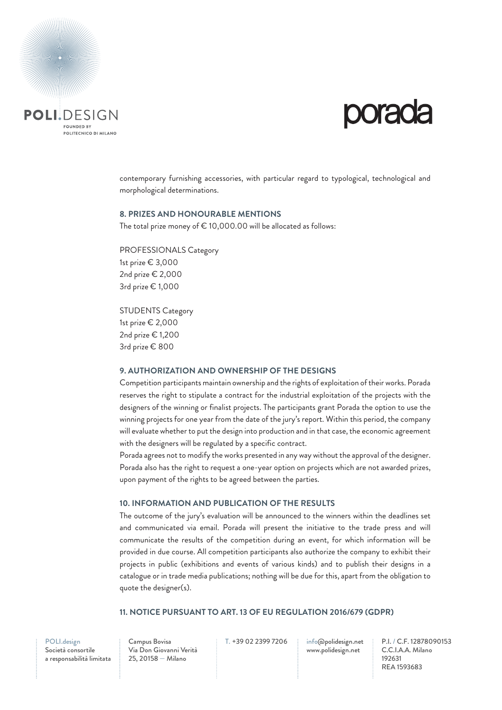

contemporary furnishing accessories, with particular regard to typological, technological and morphological determinations.

#### **8. PRIZES AND HONOURABLE MENTIONS**

The total prize money of  $\epsilon$  10,000.00 will be allocated as follows:

PROFESSIONALS Category 1st prize € 3,000 2nd prize € 2,000 3rd prize € 1,000

STUDENTS Category 1st prize € 2,000 2nd prize € 1,200 3rd prize € 800

#### **9. AUTHORIZATION AND OWNERSHIP OF THE DESIGNS**

Competition participants maintain ownership and the rights of exploitation of their works. Porada reserves the right to stipulate a contract for the industrial exploitation of the projects with the designers of the winning or finalist projects. The participants grant Porada the option to use the winning projects for one year from the date of the jury's report. Within this period, the company will evaluate whether to put the design into production and in that case, the economic agreement with the designers will be regulated by a specific contract.

Porada agrees not to modify the works presented in any way without the approval of the designer. Porada also has the right to request a one-year option on projects which are not awarded prizes, upon payment of the rights to be agreed between the parties.

### **10. INFORMATION AND PUBLICATION OF THE RESULTS**

The outcome of the jury's evaluation will be announced to the winners within the deadlines set and communicated via email. Porada will present the initiative to the trade press and will communicate the results of the competition during an event, for which information will be provided in due course. All competition participants also authorize the company to exhibit their projects in public (exhibitions and events of various kinds) and to publish their designs in a catalogue or in trade media publications; nothing will be due for this, apart from the obligation to quote the designer(s).

### **11. NOTICE PURSUANT TO ART. 13 OF EU REGULATION 2016/679 (GDPR)**

POLI.design

Società consortile a responsabilità limitata

Campus Bovisa Via Don Giovanni Verità 25, 20158 — Milano

T. +39 02 2399 7206 info@polidesign.net www.polidesign.net